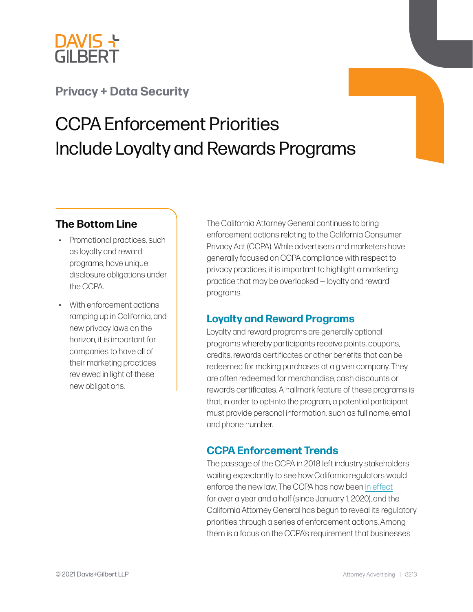

## **[Privacy + Data Security](https://www.dglaw.com/practice-area-details.cfm?pgcat=Digital%20Media%2C%20Technology%20%26%20Privacy)**

# CCPA Enforcement Priorities Include Loyalty and Rewards Programs

### **The Bottom Line**

- Promotional practices, such as loyalty and reward programs, have unique disclosure obligations under the CCPA.
- With enforcement actions ramping up in California, and new privacy laws on the horizon, it is important for companies to have all of their marketing practices reviewed in light of these new obligations.

The California Attorney General continues to bring enforcement actions relating to the California Consumer Privacy Act (CCPA). While advertisers and marketers have generally focused on CCPA compliance with respect to privacy practices, it is important to highlight a marketing practice that may be overlooked — loyalty and reward programs.

#### **Loyalty and Reward Programs**

Loyalty and reward programs are generally optional programs whereby participants receive points, coupons, credits, rewards certificates or other benefits that can be redeemed for making purchases at a given company. They are often redeemed for merchandise, cash discounts or rewards certificates. A hallmark feature of these programs is that, in order to opt-into the program, a potential participant must provide personal information, such as full name, email and phone number.

## **CCPA Enforcement Trends**

The passage of the CCPA in 2018 left industry stakeholders waiting expectantly to see how California regulators would enforce the new law. The CCPA has now been [in effect](https://www.dglaw.com/privacy-updates-as-the-ccpa-takes-effect/) for over a year and a half (since January 1, 2020), and the California Attorney General has begun to reveal its regulatory priorities through a series of enforcement actions. Among them is a focus on the CCPA's requirement that businesses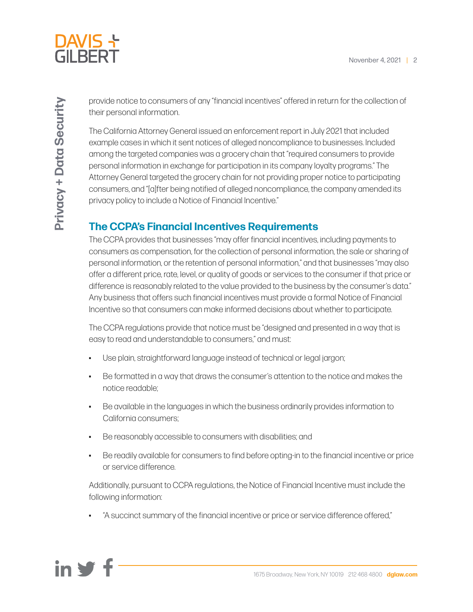

provide notice to consumers of any "financial incentives" offered in return for the collection of their personal information.

The California Attorney General issued an enforcement report in July 2021 that included example cases in which it sent notices of alleged noncompliance to businesses. Included among the targeted companies was a grocery chain that "required consumers to provide personal information in exchange for participation in its company loyalty programs." The Attorney General targeted the grocery chain for not providing proper notice to participating consumers, and "[a]fter being notified of alleged noncompliance, the company amended its privacy policy to include a Notice of Financial Incentive."

## **The CCPA's Financial Incentives Requirements**

The CCPA provides that businesses "may offer financial incentives, including payments to consumers as compensation, for the collection of personal information, the sale or sharing of personal information, or the retention of personal information," and that businesses "may also offer a different price, rate, level, or quality of goods or services to the consumer if that price or difference is reasonably related to the value provided to the business by the consumer's data." Any business that offers such financial incentives must provide a formal Notice of Financial Incentive so that consumers can make informed decisions about whether to participate.

The CCPA regulations provide that notice must be "designed and presented in a way that is easy to read and understandable to consumers," and must:

- Use plain, straightforward language instead of technical or legal jargon;
- Be formatted in a way that draws the consumer's attention to the notice and makes the notice readable;
- Be available in the languages in which the business ordinarily provides information to California consumers;
- Be reasonably accessible to consumers with disabilities; and
- Be readily available for consumers to find before opting-in to the financial incentive or price or service difference.

Additionally, pursuant to CCPA regulations, the Notice of Financial Incentive must include the following information:

• "A succinct summary of the financial incentive or price or service difference offered,"